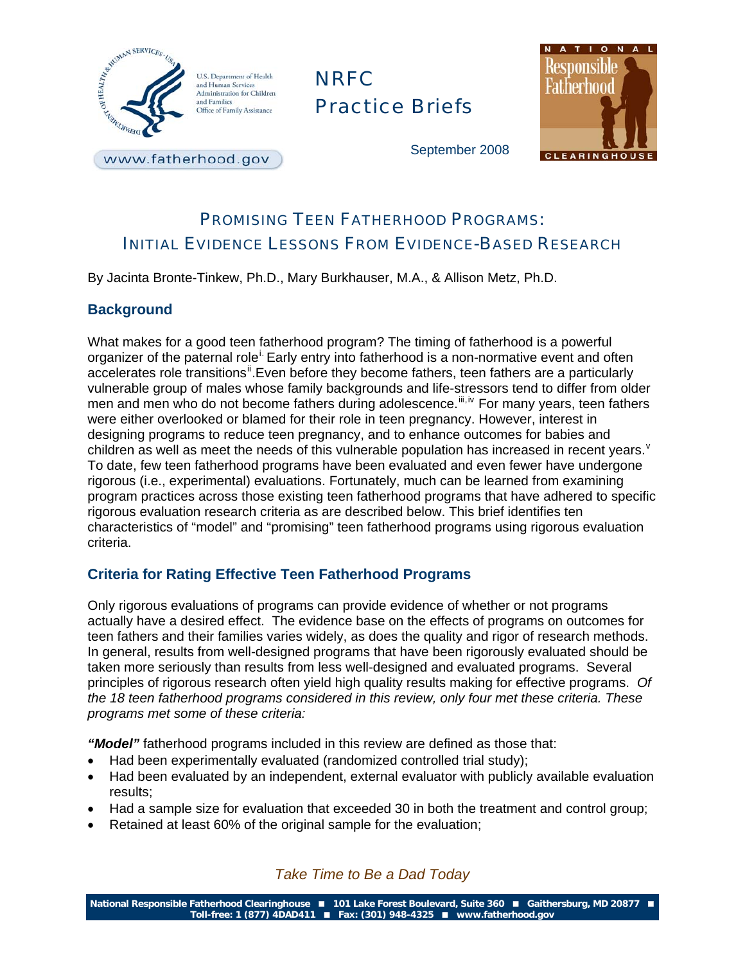

www.fatherhood.gov

# NRFC Practice Briefs



September 2008

## PROMISING TEEN FATHERHOOD PROGRAMS: INITIAL EVIDENCE LESSONS FROM EVIDENCE-BASED RESEARCH

By Jacinta Bronte-Tinkew, Ph.D., Mary Burkhauser, M.A., & Allison Metz, Ph.D.

#### **Background**

What makes for a good teen fatherhood program? The timing of fatherhood is a powerful organ[i](#page-7-0)zer of the paternal role<sup>i.</sup> Early entry into fatherhood is a non-normative event and often accelerates role transitions<sup>"</sup>. Even before they become fathers, teen fathers are a particularly vulnerable group of males whose family backgrounds and life-stressors tend to differ from older men and men who do not become fathers during adolescence. [iii](#page-7-1), [iv](#page-7-1) For many years, teen fathers were either overlooked or blamed for their role in teen pregnancy. However, interest in designing programs to reduce teen pregnancy, and to enhance outcomes for babies and children as well as meet the needs of this [v](#page-7-1)ulnerable population has increased in recent years.  $\theta$ To date, few teen fatherhood programs have been evaluated and even fewer have undergone rigorous (i.e., experimental) evaluations. Fortunately, much can be learned from examining program practices across those existing teen fatherhood programs that have adhered to specific rigorous evaluation research criteria as are described below. This brief identifies ten characteristics of "model" and "promising" teen fatherhood programs using rigorous evaluation criteria.

#### **Criteria for Rating Effective Teen Fatherhood Programs**

Only rigorous evaluations of programs can provide evidence of whether or not programs actually have a desired effect. The evidence base on the effects of programs on outcomes for teen fathers and their families varies widely, as does the quality and rigor of research methods. In general, results from well-designed programs that have been rigorously evaluated should be taken more seriously than results from less well-designed and evaluated programs. Several principles of rigorous research often yield high quality results making for effective programs. *Of the 18 teen fatherhood programs considered in this review, only four met these criteria. These programs met some of these criteria:*

*"Model"* fatherhood programs included in this review are defined as those that:

- Had been experimentally evaluated (randomized controlled trial study);
- Had been evaluated by an independent, external evaluator with publicly available evaluation results;
- Had a sample size for evaluation that exceeded 30 in both the treatment and control group;
- Retained at least 60% of the original sample for the evaluation;

*Take Time to Be a Dad Today* 

**National Responsible Fatherhood Clearinghouse 101 Lake Forest Boulevard, Suite 360 Gaithersburg, MD 20877 Toll-free: 1 (877) 4DAD411 Fax: (301) 948-4325 www.fatherhood.gov**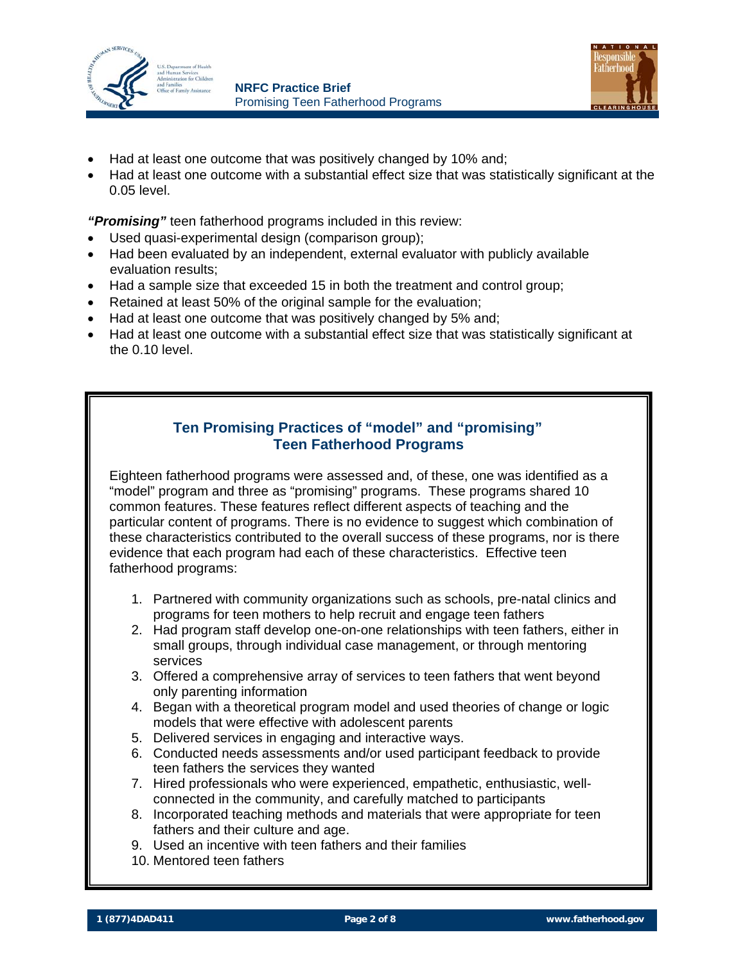



- Had at least one outcome that was positively changed by 10% and;
- Had at least one outcome with a substantial effect size that was statistically significant at the 0.05 level.

*"Promising"* teen fatherhood programs included in this review:

- Used quasi-experimental design (comparison group);
- Had been evaluated by an independent, external evaluator with publicly available evaluation results;
- Had a sample size that exceeded 15 in both the treatment and control group;
- Retained at least 50% of the original sample for the evaluation;
- Had at least one outcome that was positively changed by 5% and;
- Had at least one outcome with a substantial effect size that was statistically significant at the 0.10 level.

#### **Ten Promising Practices of "model" and "promising" Teen Fatherhood Programs**

Eighteen fatherhood programs were assessed and, of these, one was identified as a "model" program and three as "promising" programs. These programs shared 10 common features. These features reflect different aspects of teaching and the particular content of programs. There is no evidence to suggest which combination of these characteristics contributed to the overall success of these programs, nor is there evidence that each program had each of these characteristics. Effective teen fatherhood programs:

- 1. Partnered with community organizations such as schools, pre-natal clinics and programs for teen mothers to help recruit and engage teen fathers
- 2. Had program staff develop one-on-one relationships with teen fathers, either in small groups, through individual case management, or through mentoring services
- 3. Offered a comprehensive array of services to teen fathers that went beyond only parenting information
- 4. Began with a theoretical program model and used theories of change or logic models that were effective with adolescent parents
- 5. Delivered services in engaging and interactive ways.
- 6. Conducted needs assessments and/or used participant feedback to provide teen fathers the services they wanted
- 7. Hired professionals who were experienced, empathetic, enthusiastic, wellconnected in the community, and carefully matched to participants
- 8. Incorporated teaching methods and materials that were appropriate for teen fathers and their culture and age.
- 9. Used an incentive with teen fathers and their families
- 10. Mentored teen fathers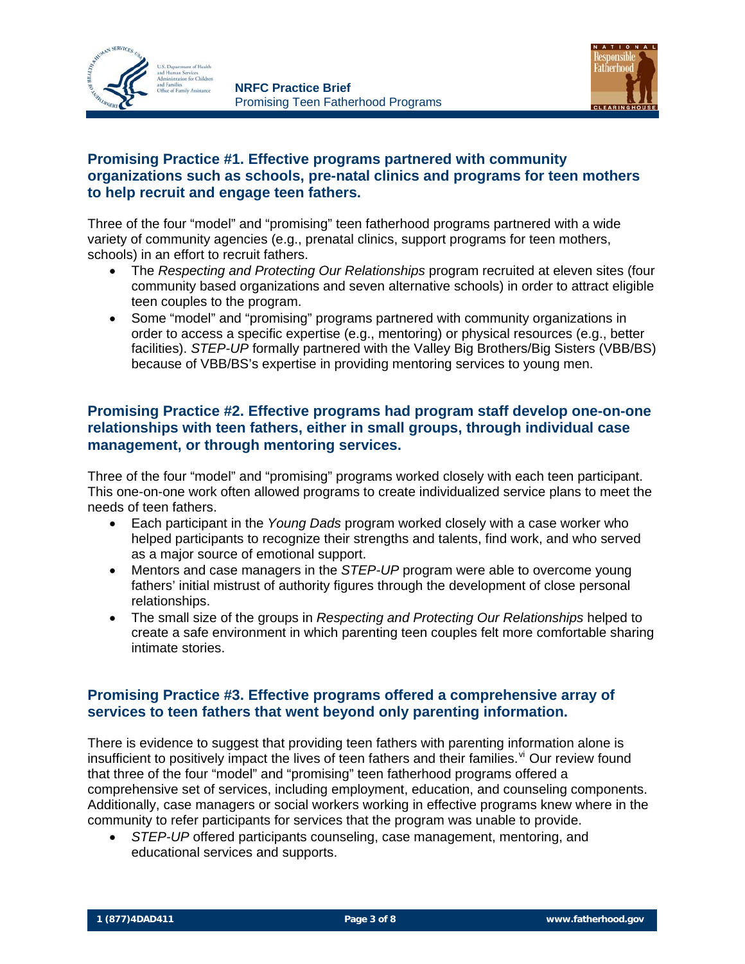



#### **Promising Practice #1. Effective programs partnered with community organizations such as schools, pre-natal clinics and programs for teen mothers to help recruit and engage teen fathers.**

Three of the four "model" and "promising" teen fatherhood programs partnered with a wide variety of community agencies (e.g., prenatal clinics, support programs for teen mothers, schools) in an effort to recruit fathers.

- The *Respecting and Protecting Our Relationships* program recruited at eleven sites (four community based organizations and seven alternative schools) in order to attract eligible teen couples to the program.
- Some "model" and "promising" programs partnered with community organizations in order to access a specific expertise (e.g., mentoring) or physical resources (e.g., better facilities). *STEP-UP* formally partnered with the Valley Big Brothers/Big Sisters (VBB/BS) because of VBB/BS's expertise in providing mentoring services to young men.

#### **Promising Practice #2. Effective programs had program staff develop one-on-one relationships with teen fathers, either in small groups, through individual case management, or through mentoring services.**

Three of the four "model" and "promising" programs worked closely with each teen participant. This one-on-one work often allowed programs to create individualized service plans to meet the needs of teen fathers.

- Each participant in the *Young Dads* program worked closely with a case worker who helped participants to recognize their strengths and talents, find work, and who served as a major source of emotional support.
- Mentors and case managers in the *STEP-UP* program were able to overcome young fathers' initial mistrust of authority figures through the development of close personal relationships.
- The small size of the groups in *Respecting and Protecting Our Relationships* helped to create a safe environment in which parenting teen couples felt more comfortable sharing intimate stories.

#### **Promising Practice #3. Effective programs offered a comprehensive array of services to teen fathers that went beyond only parenting information.**

There is evidence to suggest that providing teen fathers with parenting information alone is insufficient to positively impact the lives of teen fathers and their families.  $\sqrt{v}$  Our re[vi](#page-7-1)ew found that three of the four "model" and "promising" teen fatherhood programs offered a comprehensive set of services, including employment, education, and counseling components. Additionally, case managers or social workers working in effective programs knew where in the community to refer participants for services that the program was unable to provide.

• *STEP-UP* offered participants counseling, case management, mentoring, and educational services and supports.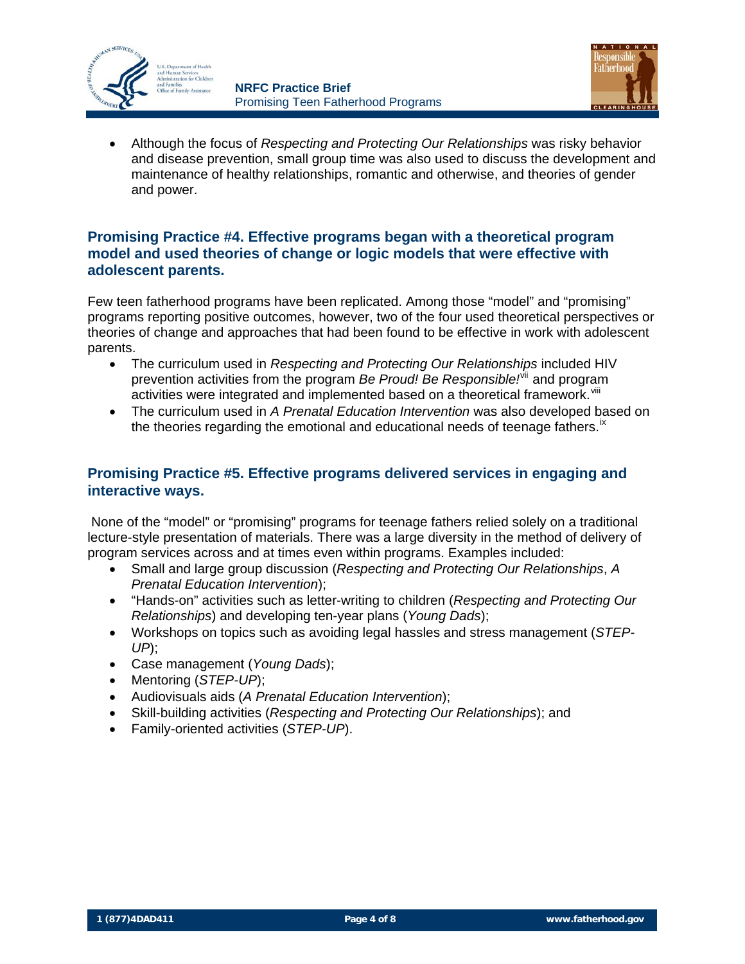



• Although the focus of *Respecting and Protecting Our Relationships* was risky behavior and disease prevention, small group time was also used to discuss the development and maintenance of healthy relationships, romantic and otherwise, and theories of gender and power.

#### **Promising Practice #4. Effective programs began with a theoretical program model and used theories of change or logic models that were effective with adolescent parents.**

Few teen fatherhood programs have been replicated. Among those "model" and "promising" programs reporting positive outcomes, however, two of the four used theoretical perspectives or theories of change and approaches that had been found to be effective in work with adolescent parents.

- The curriculum used in *Respecting and Protecting Our Relationships* included HIV prevention activities from the program *Be Proud! Be Responsible!*<sup>[vii](#page-7-1)</sup> and program activities were integrated and implemented based on a theoretical framework. Vill
- The curriculum used in *A Prenatal Education Intervention* was also developed based on the theories regarding the emotional and educational needs of teenage fathers.<sup> $x$ </sup>

#### **Promising Practice #5. Effective programs delivered services in engaging and interactive ways.**

None of the "model" or "promising" programs for teenage fathers relied solely on a traditional lecture-style presentation of materials. There was a large diversity in the method of delivery of program services across and at times even within programs. Examples included:

- Small and large group discussion (*Respecting and Protecting Our Relationships*, *A Prenatal Education Intervention*);
- "Hands-on" activities such as letter-writing to children (*Respecting and Protecting Our Relationships*) and developing ten-year plans (*Young Dads*);
- Workshops on topics such as avoiding legal hassles and stress management (*STEP-UP*);
- Case management (*Young Dads*);
- Mentoring (*STEP-UP*);
- Audiovisuals aids (*A Prenatal Education Intervention*);
- Skill-building activities (*Respecting and Protecting Our Relationships*); and
- Family-oriented activities (*STEP-UP*).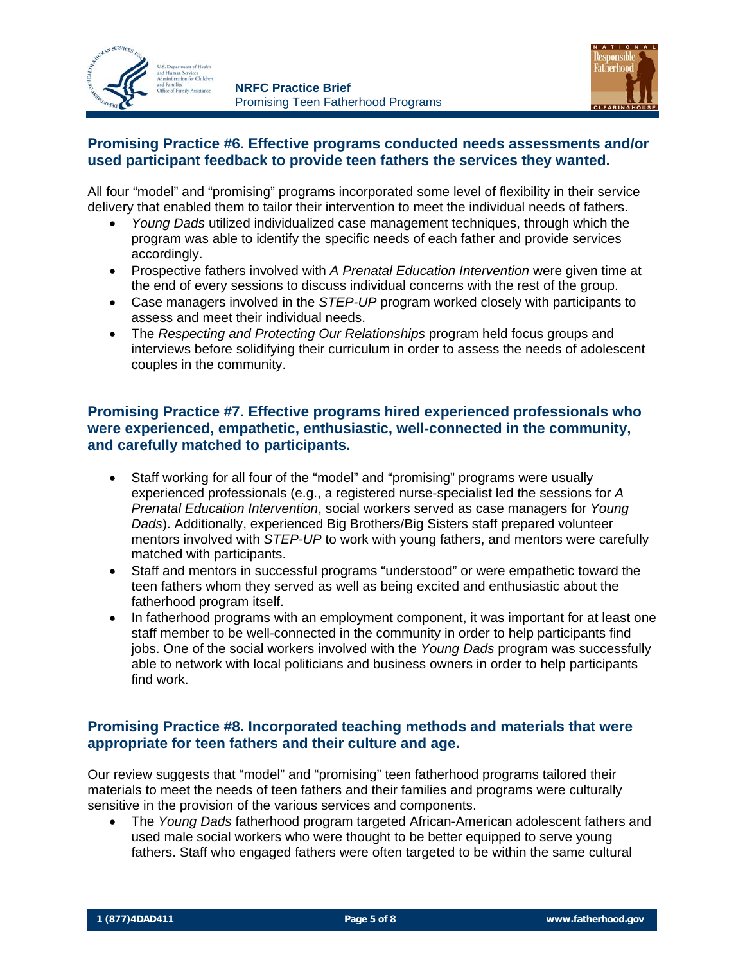



#### **Promising Practice #6. Effective programs conducted needs assessments and/or used participant feedback to provide teen fathers the services they wanted.**

All four "model" and "promising" programs incorporated some level of flexibility in their service delivery that enabled them to tailor their intervention to meet the individual needs of fathers.

- *Young Dads* utilized individualized case management techniques, through which the program was able to identify the specific needs of each father and provide services accordingly.
- Prospective fathers involved with *A Prenatal Education Intervention* were given time at the end of every sessions to discuss individual concerns with the rest of the group.
- Case managers involved in the *STEP-UP* program worked closely with participants to assess and meet their individual needs.
- The *Respecting and Protecting Our Relationships* program held focus groups and interviews before solidifying their curriculum in order to assess the needs of adolescent couples in the community.

#### **Promising Practice #7. Effective programs hired experienced professionals who were experienced, empathetic, enthusiastic, well-connected in the community, and carefully matched to participants.**

- Staff working for all four of the "model" and "promising" programs were usually experienced professionals (e.g., a registered nurse-specialist led the sessions for *A Prenatal Education Intervention*, social workers served as case managers for *Young Dads*). Additionally, experienced Big Brothers/Big Sisters staff prepared volunteer mentors involved with *STEP-UP* to work with young fathers, and mentors were carefully matched with participants.
- Staff and mentors in successful programs "understood" or were empathetic toward the teen fathers whom they served as well as being excited and enthusiastic about the fatherhood program itself.
- In fatherhood programs with an employment component, it was important for at least one staff member to be well-connected in the community in order to help participants find jobs. One of the social workers involved with the *Young Dads* program was successfully able to network with local politicians and business owners in order to help participants find work.

#### **Promising Practice #8. Incorporated teaching methods and materials that were appropriate for teen fathers and their culture and age.**

Our review suggests that "model" and "promising" teen fatherhood programs tailored their materials to meet the needs of teen fathers and their families and programs were culturally sensitive in the provision of the various services and components.

• The *Young Dads* fatherhood program targeted African-American adolescent fathers and used male social workers who were thought to be better equipped to serve young fathers. Staff who engaged fathers were often targeted to be within the same cultural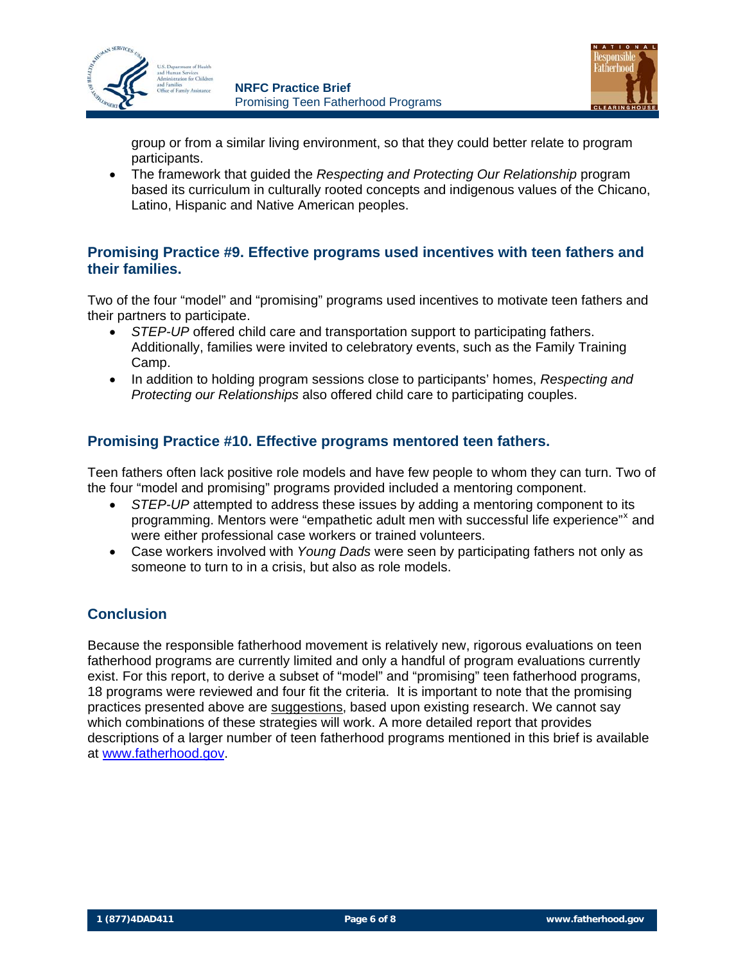



group or from a similar living environment, so that they could better relate to program participants.

• The framework that guided the *Respecting and Protecting Our Relationship* program based its curriculum in culturally rooted concepts and indigenous values of the Chicano, Latino, Hispanic and Native American peoples.

#### **Promising Practice #9. Effective programs used incentives with teen fathers and their families.**

Two of the four "model" and "promising" programs used incentives to motivate teen fathers and their partners to participate.

- *STEP-UP* offered child care and transportation support to participating fathers. Additionally, families were invited to celebratory events, such as the Family Training Camp.
- In addition to holding program sessions close to participants' homes, *Respecting and Protecting our Relationships* also offered child care to participating couples.

#### **Promising Practice #10. Effective programs mentored teen fathers.**

Teen fathers often lack positive role models and have few people to whom they can turn. Two of the four "model and promising" programs provided included a mentoring component.

- *STEP-UP* attempted to address these issues by adding a mentoring component to its programming. Mentors were "empathetic adult men with successful life e[x](#page-7-1)perience"<sup>x</sup> and were either professional case workers or trained volunteers.
- Case workers involved with *Young Dads* were seen by participating fathers not only as someone to turn to in a crisis, but also as role models.

#### **Conclusion**

Because the responsible fatherhood movement is relatively new, rigorous evaluations on teen fatherhood programs are currently limited and only a handful of program evaluations currently exist. For this report, to derive a subset of "model" and "promising" teen fatherhood programs, 18 programs were reviewed and four fit the criteria. It is important to note that the promising practices presented above are suggestions, based upon existing research. We cannot say which combinations of these strategies will work. A more detailed report that provides descriptions of a larger number of teen fatherhood programs mentioned in this brief is available at [www.fatherhood.gov.](http://www.fatherhood.gov/)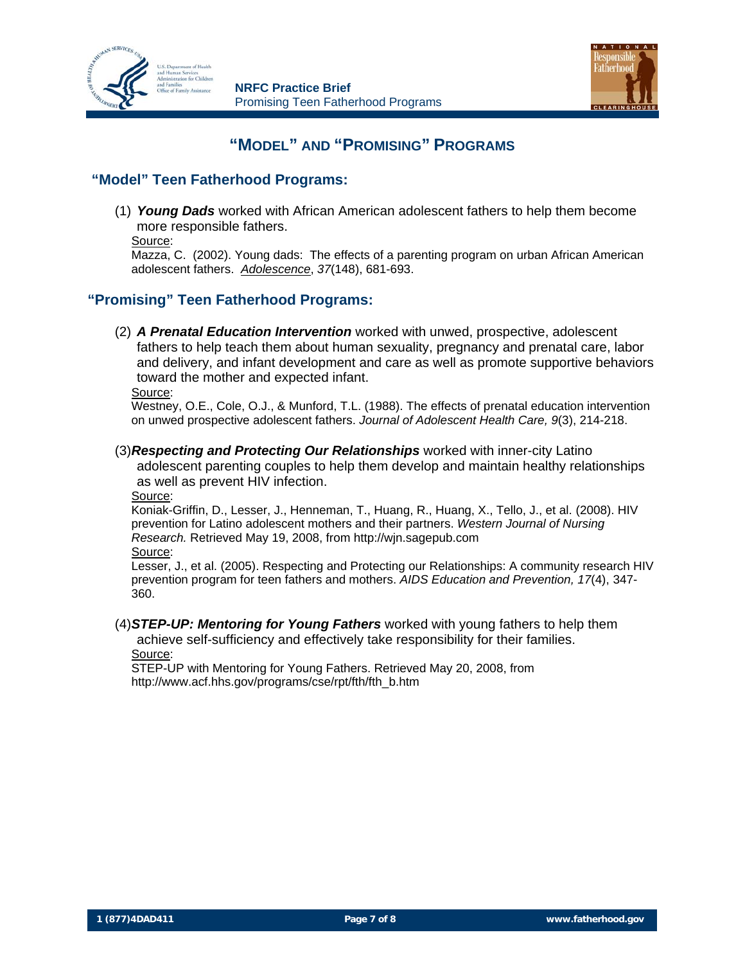



### **"MODEL" AND "PROMISING" PROGRAMS**

#### **"Model" Teen Fatherhood Programs:**

(1) *Young Dads* worked with African American adolescent fathers to help them become more responsible fathers.

Source:

```
Mazza, C. (2002). Young dads: The effects of a parenting program on urban African American 
adolescent fathers. Adolescence, 37(148), 681-693.
```
#### **"Promising" Teen Fatherhood Programs:**

(2) *A Prenatal Education Intervention* worked with unwed, prospective, adolescent fathers to help teach them about human sexuality, pregnancy and prenatal care, labor and delivery, and infant development and care as well as promote supportive behaviors toward the mother and expected infant.

Source:

Westney, O.E., Cole, O.J., & Munford, T.L. (1988). The effects of prenatal education intervention on unwed prospective adolescent fathers. *Journal of Adolescent Health Care, 9*(3), 214-218.

(3) *Respecting and Protecting Our Relationships* worked with inner-city Latino adolescent parenting couples to help them develop and maintain healthy relationships as well as prevent HIV infection.

Source:

Koniak-Griffin, D., Lesser, J., Henneman, T., Huang, R., Huang, X., Tello, J., et al. (2008). HIV prevention for Latino adolescent mothers and their partners. *Western Journal of Nursing Research.* Retrieved May 19, 2008, from http://wjn.sagepub.com Source:

Lesser, J., et al. (2005). Respecting and Protecting our Relationships: A community research HIV prevention program for teen fathers and mothers. *AIDS Education and Prevention, 17*(4), 347- 360.

(4) *STEP-UP: Mentoring for Young Fathers* worked with young fathers to help them

achieve self-sufficiency and effectively take responsibility for their families. Source:

STEP-UP with Mentoring for Young Fathers. Retrieved May 20, 2008, from http://www.acf.hhs.gov/programs/cse/rpt/fth/fth\_b.htm